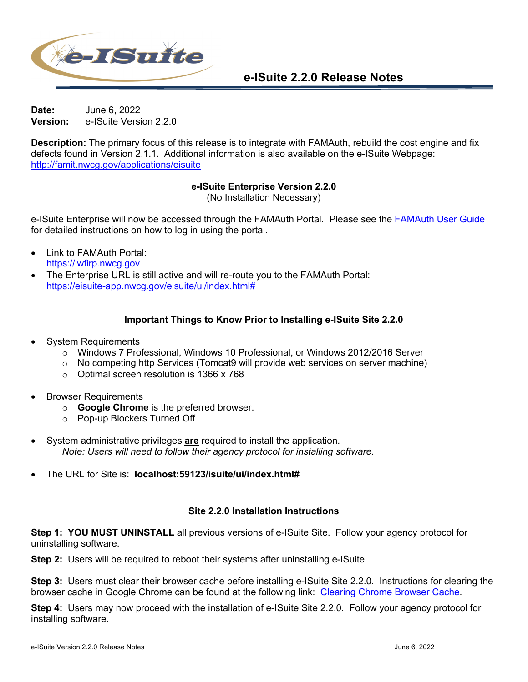

**Date:** June 6, 2022 **Version:** e-ISuite Version 2.2.0

**Description:** The primary focus of this release is to integrate with FAMAuth, rebuild the cost engine and fix defects found in Version 2.1.1. Additional information is also available on the e-ISuite Webpage: http://famit.nwcg.gov/applications/eisuite

## **e-ISuite Enterprise Version 2.2.0**

(No Installation Necessary)

e-ISuite Enterprise will now be accessed through the FAMAuth Portal. Please see the FAMAuth User Guide for detailed instructions on how to log in using the portal.

- Link to FAMAuth Portal: https://iwfirp.nwcg.gov
- The Enterprise URL is still active and will re-route you to the FAMAuth Portal: https://eisuite-app.nwcg.gov/eisuite/ui/index.html#

## **Important Things to Know Prior to Installing e-ISuite Site 2.2.0**

- System Requirements
	- o Windows 7 Professional, Windows 10 Professional, or Windows 2012/2016 Server
	- $\circ$  No competing http Services (Tomcat9 will provide web services on server machine)
	- o Optimal screen resolution is 1366 x 768
- Browser Requirements
	- o **Google Chrome** is the preferred browser.
	- o Pop-up Blockers Turned Off
- System administrative privileges **are** required to install the application. *Note: Users will need to follow their agency protocol for installing software.*
- The URL for Site is: **localhost:59123/isuite/ui/index.html#**

## **Site 2.2.0 Installation Instructions**

**Step 1: YOU MUST UNINSTALL** all previous versions of e-ISuite Site. Follow your agency protocol for uninstalling software.

**Step 2:** Users will be required to reboot their systems after uninstalling e-ISuite.

**Step 3:** Users must clear their browser cache before installing e-ISuite Site 2.2.0. Instructions for clearing the browser cache in Google Chrome can be found at the following link: Clearing Chrome Browser Cache.

**Step 4:** Users may now proceed with the installation of e-ISuite Site 2.2.0. Follow your agency protocol for installing software.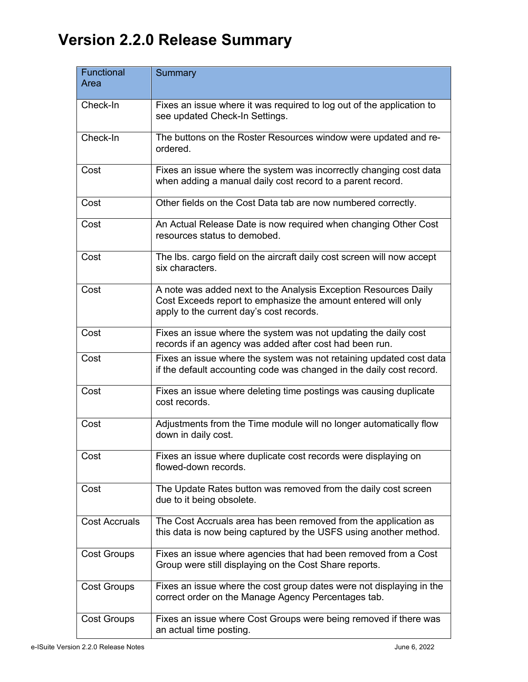## **Version 2.2.0 Release Summary**

| Functional<br>Area   | <b>Summary</b>                                                                                                                                                               |
|----------------------|------------------------------------------------------------------------------------------------------------------------------------------------------------------------------|
| Check-In             | Fixes an issue where it was required to log out of the application to<br>see updated Check-In Settings.                                                                      |
| Check-In             | The buttons on the Roster Resources window were updated and re-<br>ordered.                                                                                                  |
| Cost                 | Fixes an issue where the system was incorrectly changing cost data<br>when adding a manual daily cost record to a parent record.                                             |
| Cost                 | Other fields on the Cost Data tab are now numbered correctly.                                                                                                                |
| Cost                 | An Actual Release Date is now required when changing Other Cost<br>resources status to demobed.                                                                              |
| Cost                 | The Ibs. cargo field on the aircraft daily cost screen will now accept<br>six characters.                                                                                    |
| Cost                 | A note was added next to the Analysis Exception Resources Daily<br>Cost Exceeds report to emphasize the amount entered will only<br>apply to the current day's cost records. |
| Cost                 | Fixes an issue where the system was not updating the daily cost<br>records if an agency was added after cost had been run.                                                   |
| Cost                 | Fixes an issue where the system was not retaining updated cost data<br>if the default accounting code was changed in the daily cost record.                                  |
| Cost                 | Fixes an issue where deleting time postings was causing duplicate<br>cost records.                                                                                           |
| Cost                 | Adjustments from the Time module will no longer automatically flow<br>down in daily cost.                                                                                    |
| Cost                 | Fixes an issue where duplicate cost records were displaying on<br>flowed-down records.                                                                                       |
| Cost                 | The Update Rates button was removed from the daily cost screen<br>due to it being obsolete.                                                                                  |
| <b>Cost Accruals</b> | The Cost Accruals area has been removed from the application as<br>this data is now being captured by the USFS using another method.                                         |
| <b>Cost Groups</b>   | Fixes an issue where agencies that had been removed from a Cost<br>Group were still displaying on the Cost Share reports.                                                    |
| <b>Cost Groups</b>   | Fixes an issue where the cost group dates were not displaying in the<br>correct order on the Manage Agency Percentages tab.                                                  |
| <b>Cost Groups</b>   | Fixes an issue where Cost Groups were being removed if there was<br>an actual time posting.                                                                                  |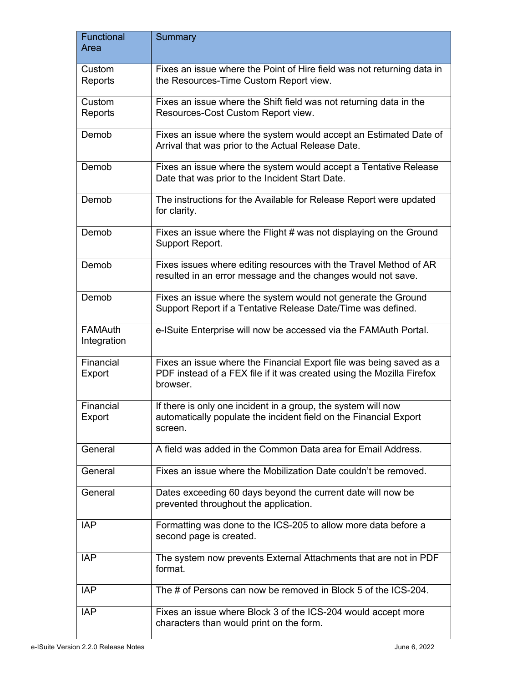| Functional<br>Area            | <b>Summary</b>                                                                                                                                           |
|-------------------------------|----------------------------------------------------------------------------------------------------------------------------------------------------------|
| Custom<br>Reports             | Fixes an issue where the Point of Hire field was not returning data in<br>the Resources-Time Custom Report view.                                         |
| Custom<br>Reports             | Fixes an issue where the Shift field was not returning data in the<br>Resources-Cost Custom Report view.                                                 |
| Demob                         | Fixes an issue where the system would accept an Estimated Date of<br>Arrival that was prior to the Actual Release Date.                                  |
| Demob                         | Fixes an issue where the system would accept a Tentative Release<br>Date that was prior to the Incident Start Date.                                      |
| Demob                         | The instructions for the Available for Release Report were updated<br>for clarity.                                                                       |
| Demob                         | Fixes an issue where the Flight # was not displaying on the Ground<br>Support Report.                                                                    |
| Demob                         | Fixes issues where editing resources with the Travel Method of AR<br>resulted in an error message and the changes would not save.                        |
| Demob                         | Fixes an issue where the system would not generate the Ground<br>Support Report if a Tentative Release Date/Time was defined.                            |
| <b>FAMAuth</b><br>Integration | e-ISuite Enterprise will now be accessed via the FAMAuth Portal.                                                                                         |
| Financial<br>Export           | Fixes an issue where the Financial Export file was being saved as a<br>PDF instead of a FEX file if it was created using the Mozilla Firefox<br>browser. |
| Financial<br>Export           | If there is only one incident in a group, the system will now<br>automatically populate the incident field on the Financial Export<br>screen.            |
| General                       | A field was added in the Common Data area for Email Address.                                                                                             |
| General                       | Fixes an issue where the Mobilization Date couldn't be removed.                                                                                          |
| General                       | Dates exceeding 60 days beyond the current date will now be<br>prevented throughout the application.                                                     |
| <b>IAP</b>                    | Formatting was done to the ICS-205 to allow more data before a<br>second page is created.                                                                |
| <b>IAP</b>                    | The system now prevents External Attachments that are not in PDF<br>format.                                                                              |
| <b>IAP</b>                    | The # of Persons can now be removed in Block 5 of the ICS-204.                                                                                           |
| <b>IAP</b>                    | Fixes an issue where Block 3 of the ICS-204 would accept more<br>characters than would print on the form.                                                |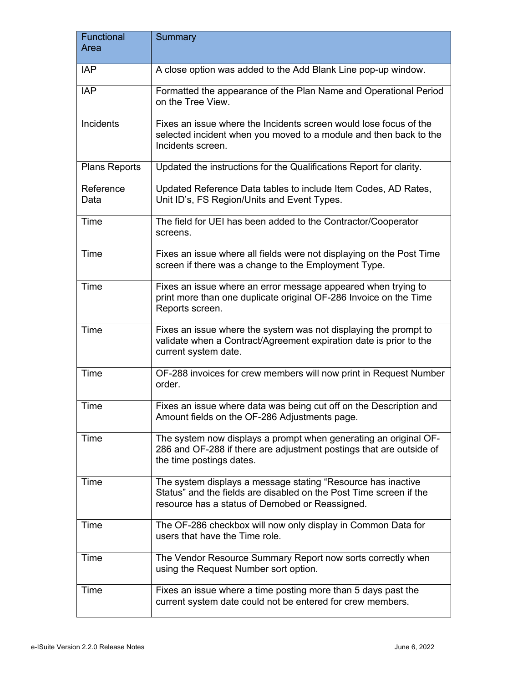| Functional<br>Area | Summary                                                                                                                                                                               |
|--------------------|---------------------------------------------------------------------------------------------------------------------------------------------------------------------------------------|
| <b>IAP</b>         | A close option was added to the Add Blank Line pop-up window.                                                                                                                         |
| <b>IAP</b>         | Formatted the appearance of the Plan Name and Operational Period<br>on the Tree View.                                                                                                 |
| Incidents          | Fixes an issue where the Incidents screen would lose focus of the<br>selected incident when you moved to a module and then back to the<br>Incidents screen.                           |
| Plans Reports      | Updated the instructions for the Qualifications Report for clarity.                                                                                                                   |
| Reference<br>Data  | Updated Reference Data tables to include Item Codes, AD Rates,<br>Unit ID's, FS Region/Units and Event Types.                                                                         |
| Time               | The field for UEI has been added to the Contractor/Cooperator<br>screens.                                                                                                             |
| Time               | Fixes an issue where all fields were not displaying on the Post Time<br>screen if there was a change to the Employment Type.                                                          |
| Time               | Fixes an issue where an error message appeared when trying to<br>print more than one duplicate original OF-286 Invoice on the Time<br>Reports screen.                                 |
| Time               | Fixes an issue where the system was not displaying the prompt to<br>validate when a Contract/Agreement expiration date is prior to the<br>current system date.                        |
| Time               | OF-288 invoices for crew members will now print in Request Number<br>order.                                                                                                           |
| Time               | Fixes an issue where data was being cut off on the Description and<br>Amount fields on the OF-286 Adjustments page.                                                                   |
| Time               | The system now displays a prompt when generating an original OF-<br>286 and OF-288 if there are adjustment postings that are outside of<br>the time postings dates.                   |
| Time               | The system displays a message stating "Resource has inactive<br>Status" and the fields are disabled on the Post Time screen if the<br>resource has a status of Demobed or Reassigned. |
| Time               | The OF-286 checkbox will now only display in Common Data for<br>users that have the Time role.                                                                                        |
| Time               | The Vendor Resource Summary Report now sorts correctly when<br>using the Request Number sort option.                                                                                  |
| Time               | Fixes an issue where a time posting more than 5 days past the<br>current system date could not be entered for crew members.                                                           |